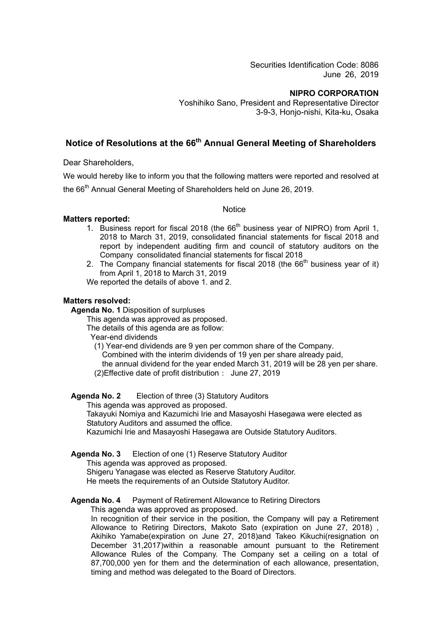Securities Identification Code: 8086 June 26, 2019

#### **NIPRO CORPORATION**

Yoshihiko Sano, President and Representative Director 3-9-3, Honjo-nishi, Kita-ku, Osaka

# **Notice of Resolutions at the 66th Annual General Meeting of Shareholders**

Dear Shareholders,

We would hereby like to inform you that the following matters were reported and resolved at the 66<sup>th</sup> Annual General Meeting of Shareholders held on June 26, 2019.

#### **Notice**

## **Matters reported:**

- 1. Business report for fiscal 2018 (the  $66<sup>th</sup>$  business year of NIPRO) from April 1, 2018 to March 31, 2019, consolidated financial statements for fiscal 2018 and report by independent auditing firm and council of statutory auditors on the Company consolidated financial statements for fiscal 2018
- 2. The Company financial statements for fiscal 2018 (the  $66<sup>th</sup>$  business year of it) from April 1, 2018 to March 31, 2019

We reported the details of above 1. and 2.

#### **Matters resolved:**

**Agenda No. 1** Disposition of surpluses

This agenda was approved as proposed.

The details of this agenda are as follow:

Year-end dividends

(1) Year-end dividends are 9 yen per common share of the Company.

Combined with the interim dividends of 19 yen per share already paid,

the annual dividend for the year ended March 31, 2019 will be 28 yen per share.

(2)Effective date of profit distribution: June 27, 2019

#### **Agenda No. 2** Election of three (3) Statutory Auditors

This agenda was approved as proposed.

 Takayuki Nomiya and Kazumichi Irie and Masayoshi Hasegawa were elected as Statutory Auditors and assumed the office.

Kazumichi Irie and Masayoshi Hasegawa are Outside Statutory Auditors.

## **Agenda No. 3** Election of one (1) Reserve Statutory Auditor

This agenda was approved as proposed.

Shigeru Yanagase was elected as Reserve Statutory Auditor.

He meets the requirements of an Outside Statutory Auditor.

## **Agenda No. 4** Payment of Retirement Allowance to Retiring Directors

This agenda was approved as proposed.

In recognition of their service in the position, the Company will pay a Retirement Allowance to Retiring Directors, Makoto Sato (expiration on June 27, 2018) , Akihiko Yamabe(expiration on June 27, 2018)and Takeo Kikuchi(resignation on December 31,2017)within a reasonable amount pursuant to the Retirement Allowance Rules of the Company. The Company set a ceiling on a total of 87,700,000 yen for them and the determination of each allowance, presentation, timing and method was delegated to the Board of Directors.